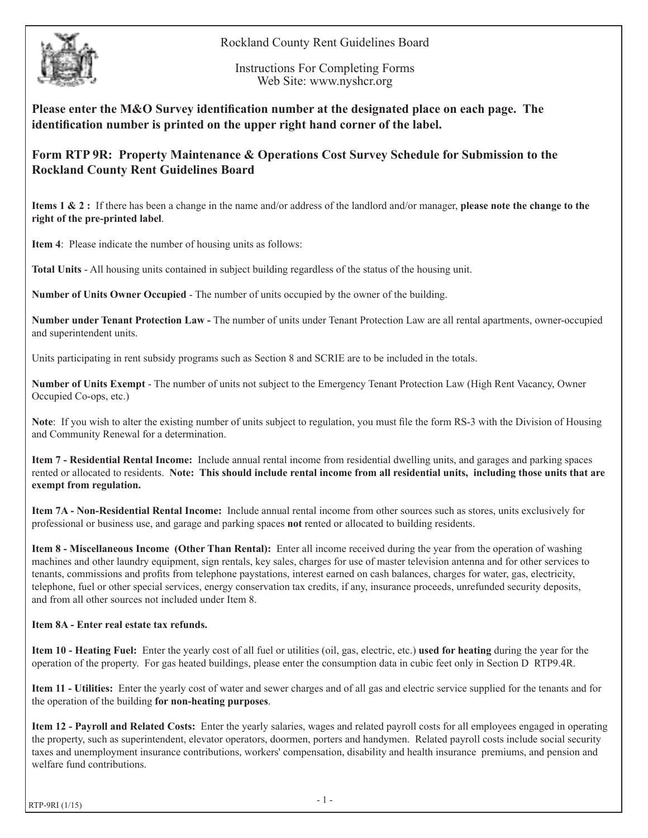



Instructions For Completing Forms Web Site: www.nyshcr.org

**Please enter the M&O Survey identification number at the designated place on each page. The identification number is printed on the upper right hand corner of the label.**

## **Form RTP 9R: Property Maintenance & Operations Cost Survey Schedule for Submission to the Rockland County Rent Guidelines Board**

**Items 1 & 2 :** If there has been a change in the name and/or address of the landlord and/or manager, **please note the change to the right of the pre-printed label**.

**Item 4**: Please indicate the number of housing units as follows:

**Total Units** - All housing units contained in subject building regardless of the status of the housing unit.

**Number of Units Owner Occupied** - The number of units occupied by the owner of the building.

**Number under Tenant Protection Law -** The number of units under Tenant Protection Law are all rental apartments, owner-occupied and superintendent units.

Units participating in rent subsidy programs such as Section 8 and SCRIE are to be included in the totals.

**Number of Units Exempt** - The number of units not subject to the Emergency Tenant Protection Law (High Rent Vacancy, Owner Occupied Co-ops, etc.)

**Note**: If you wish to alter the existing number of units subject to regulation, you must file the form RS-3 with the Division of Housing and Community Renewal for a determination.

**Item 7 - Residential Rental Income:** Include annual rental income from residential dwelling units, and garages and parking spaces rented or allocated to residents. **Note: This should include rental income from all residential units, including those units that are exempt from regulation.** 

**Item 7A - Non-Residential Rental Income:** Include annual rental income from other sources such as stores, units exclusively for professional or business use, and garage and parking spaces **not** rented or allocated to building residents.

**Item 8 - Miscellaneous Income (Other Than Rental):** Enter all income received during the year from the operation of washing machines and other laundry equipment, sign rentals, key sales, charges for use of master television antenna and for other services to tenants, commissions and profits from telephone paystations, interest earned on cash balances, charges for water, gas, electricity, telephone, fuel or other special services, energy conservation tax credits, if any, insurance proceeds, unrefunded security deposits, and from all other sources not included under Item 8.

## **Item 8A - Enter real estate tax refunds.**

**Item 10 - Heating Fuel:** Enter the yearly cost of all fuel or utilities (oil, gas, electric, etc.) **used for heating** during the year for the operation of the property. For gas heated buildings, please enter the consumption data in cubic feet only in Section D RTP9.4R.

**Item 11 - Utilities:** Enter the yearly cost of water and sewer charges and of all gas and electric service supplied for the tenants and for the operation of the building **for non-heating purposes**.

**Item 12 - Payroll and Related Costs:** Enter the yearly salaries, wages and related payroll costs for all employees engaged in operating the property, such as superintendent, elevator operators, doormen, porters and handymen. Related payroll costs include social security taxes and unemployment insurance contributions, workers' compensation, disability and health insurance premiums, and pension and welfare fund contributions.